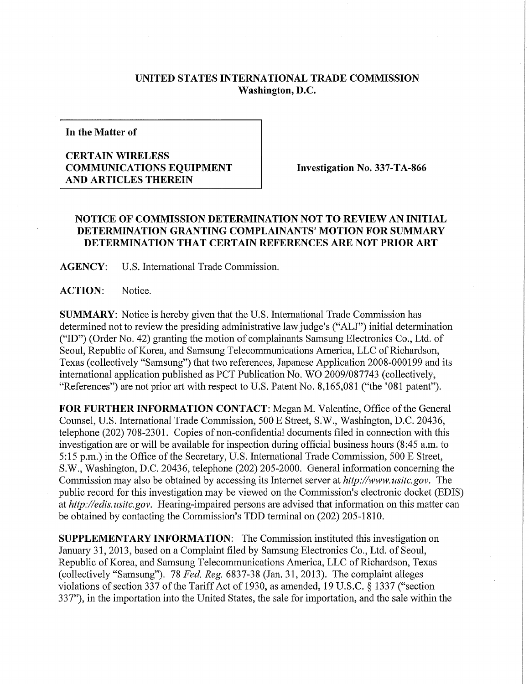## **UNITED STATES INTERNATIONAL TRADE COMMISSION Washington, D.C.**

**In the Matter of** 

## **CERTAIN WIRELESS COMMUNICATIONS EQUIPMENT AND ARTICLES THEREIN**

**Investigation No. 337-TA-866** 

## **NOTICE OF COMMISSION DETERMINATION NOT TO REVIEW AN INITIAL DETERMINATION GRANTING COMPLAINANTS' MOTION FOR SUMMARY DETERMINATION THAT CERTAIN REFERENCES ARE NOT PRIOR ART**

**AGENCY:** U.S. International Trade Commission.

**ACTION:** Notice.

**SUMMARY:** Notice is hereby given that the U.S. International Trade Commission has determined not to review the presiding administrative law judge's ("ALJ") initial determination ("ID") (Order No. 42) granting the motion of complainants Samsung Electronics Co., Ltd. of Seoul, Republic of Korea, and Samsung Telecommunications America, LLC of Richardson, Texas (collectively "Samsung") that two references, Japanese Application 2008-000199 and its international application published as PCT Publication No. WO 2009/087743 (collectively, "References") are not prior art with respect to U.S. Patent No. 8,165,081 ("the '081 patent").

FOR FURTHER INFORMATION CONTACT: Megan M. Valentine, Office of the General Counsel, U.S. International Trade Commission, 500 E Street, S.W., Washington, D.C. 20436, telephone (202) 708-2301. Copies of non-confidential documents filed in connection with this investigation are or will be available for inspection during official business hours (8:45 a.m. to 5:15 p.m.) in the Office of the Secretary, U.S. International Trade Commission, 500 E Street, S.W., Washington, D.C. 20436, telephone (202) 205-2000. General information concerning the Commission may also be obtained by accessing its Internet server at http://www.usitc.gov. The public record for this investigation may be viewed on the Commission's electronic docket (EDIS) at *http://edis.usitc.gov.* Hearing-impaired persons are advised that information on this matter can be obtained by contacting the Commission's TDD terminal on (202) 205-1810.

**SUPPLEMENTARY INFORMATION:** The Commission instituted this investigation on January 31, 2013, based on a Complaint filed by Samsung Electronics Co., Ltd. of Seoul, Republic of Korea, and Samsung Telecommunications America, LLC of Richardson, Texas (collectively "Samsung"). 78 *Fed. Reg.* 6837-38 (Jan. 31, 2013). The complaint alleges violations of section 337 of the Tariff Act of 1930, as amended, 19 U.S.C. § 1337 ("section 337"), in the importation into the United States, the sale for importation, and the sale within the